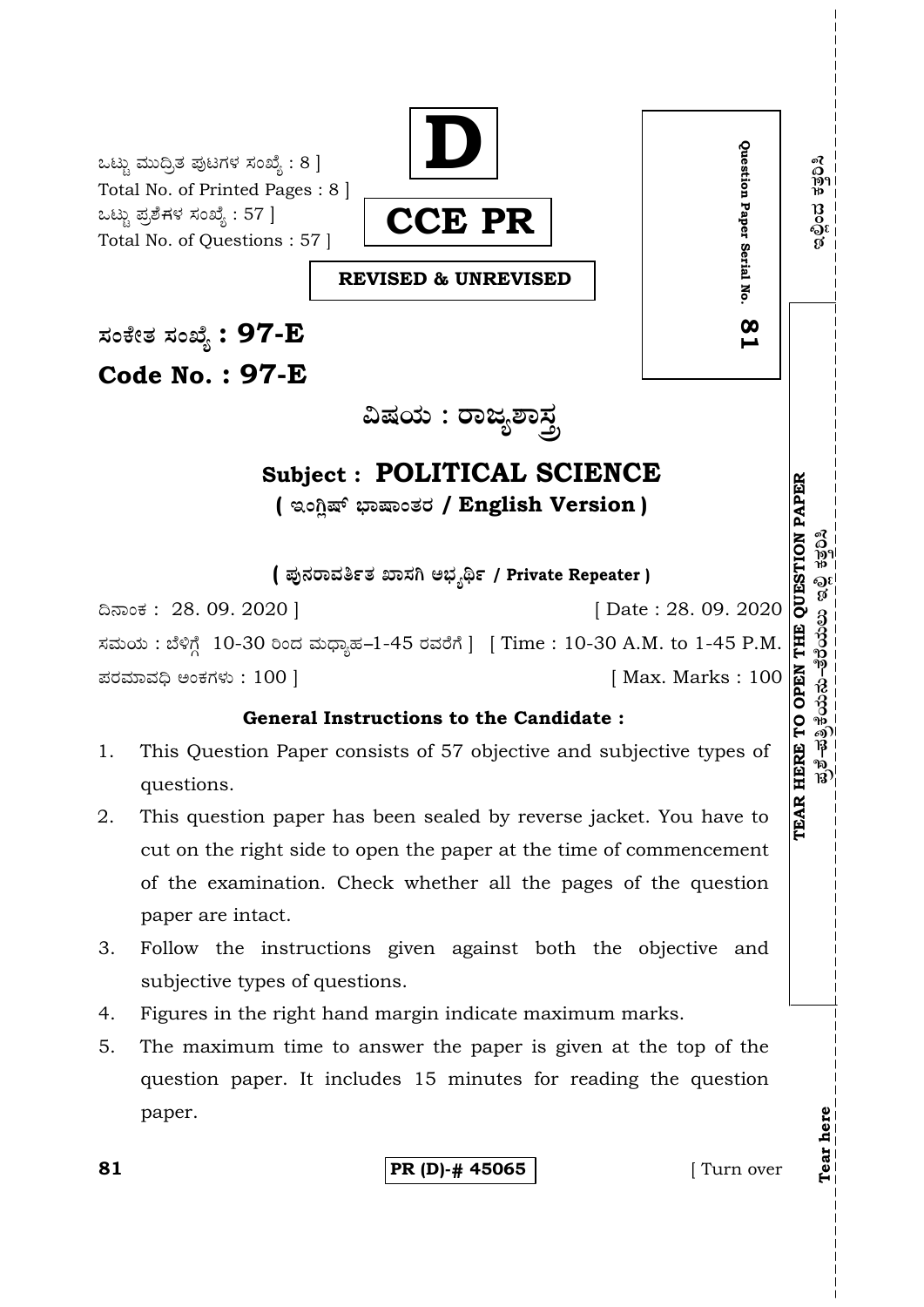ಒಟ್ಟು ಮುದ್ರಿತ ಪುಟಗಳ ಸಂಖ್ಯೆ  $: 8]$ Total No. of Printed Pages : 8 ] ಒಟ್ಟು ಪ್ರಶೆಗಳ ಸಂಖ್ಯೆ : 57 ] Total No. of Questions : 57 ]



**REVISED & UNREVISED**

**—⁄MOÊfi}⁄ —⁄MSÊ¿ : 97-E Code No. : 97-E**

**…Œ⁄æ⁄fl : ¡¤d¿À¤—⁄°**

# **Subject : POLITICAL SCIENCE**  $($  ಇಂಗ್ಷಿಷ್ ಭಾಷಾಂತರ / English Version )

**( Æ⁄'¥´⁄¡¤»⁄~%}⁄ S¤—⁄W @∫⁄¥¿£% / Private Repeater )**

¶´¤MO⁄ : 28. 09. 2020 ] [ Date : 28. 09. 2020 ಸಮಯ : ಬೆಳಿಗ್ಗೆ 10-30 ರಿಂದ ಮಧ್ಯಾಹ-1-45 ರವರೆಗೆ ] [ Time : 10-30 A.M. to 1-45 P.M. Æ⁄¡⁄»⁄·¤»⁄© @MO⁄V⁄◊⁄fl : 100 ] [ Max. Marks : 100 **TEAR HERE TO OPEN THE QUESTION PAPE**

# **General Instructions to the Candidate :**

- 1. This Question Paper consists of 57 objective and subjective types of questions.
- 2. This question paper has been sealed by reverse jacket. You have to cut on the right side to open the paper at the time of commencement of the examination. Check whether all the pages of the question paper are intact.
- 3. Follow the instructions given against both the objective and subjective types of questions.
- 4. Figures in the right hand margin indicate maximum marks.
- 5. The maximum time to answer the paper is given at the top of the question paper. It includes 15 minutes for reading the question paper.

**81 PR (D)-# 45065** [ Turn over

**Tear here** 

Tear here

**Question Paper Serial No. 81**

 $\infty$ 

Question Paper Serial No.

**R**  $\tilde{E}^{2}_{\rm F}=\tilde{E}^{2}_{\rm F}$ ಹ $\tilde{E}^{2}_{\rm F}=\tilde{E}^{2}_{\rm F}$ ಲಿಂದು ಹ $\tilde{E}^{2}_{\rm F}$ ್ಮು $\tilde{E}^{2}_{\rm F}$ ಶ $\tilde{E}^{2}_{\rm F}$ 

ನ್ನಿರಿಸಿ

อเ<br>ชื่

ಪ್ರಶೆ–ಪತ್ರಿಕೆಯನು–ತೆರೆಯಲು

ಲಿಂದ ಕತ್ತರಿಸಿ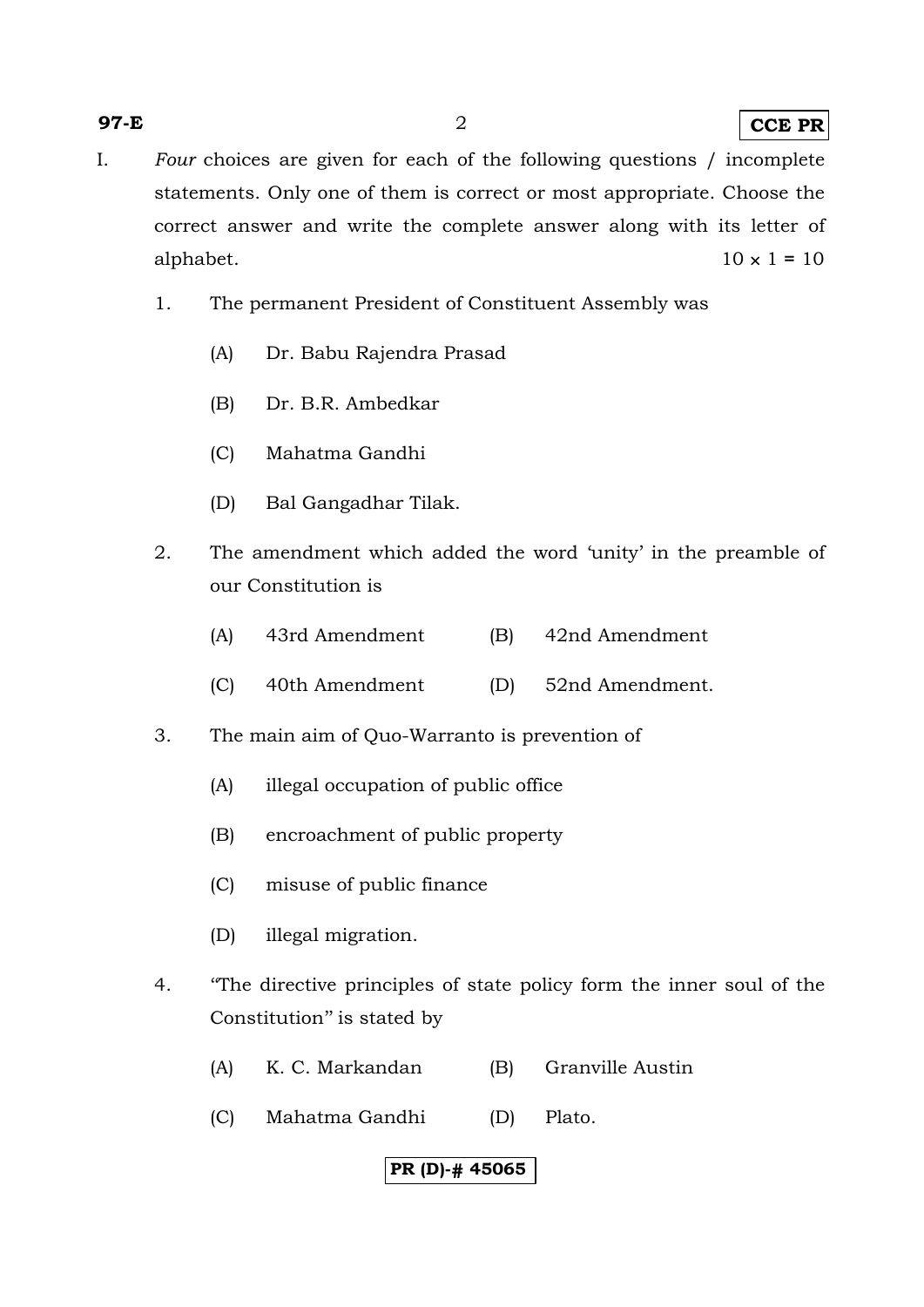#### **97-E** 2 **CCE PR**

- I. *Four* choices are given for each of the following questions / incomplete statements. Only one of them is correct or most appropriate. Choose the correct answer and write the complete answer along with its letter of alphabet.  $10 \times 1 = 10$ 
	- 1. The permanent President of Constituent Assembly was
		- (A) Dr. Babu Rajendra Prasad
		- (B) Dr. B.R. Ambedkar
		- (C) Mahatma Gandhi
		- (D) Bal Gangadhar Tilak.
	- 2. The amendment which added the word 'unity' in the preamble of our Constitution is
		- (A) 43rd Amendment (B) 42nd Amendment
		- (C) 40th Amendment (D) 52nd Amendment.
	- 3. The main aim of Quo-Warranto is prevention of
		- (A) illegal occupation of public office
		- (B) encroachment of public property
		- (C) misuse of public finance
		- (D) illegal migration.
	- 4. ''The directive principles of state policy form the inner soul of the Constitution'' is stated by
		- (A) K. C. Markandan (B) Granville Austin
		- (C) Mahatma Gandhi (D) Plato.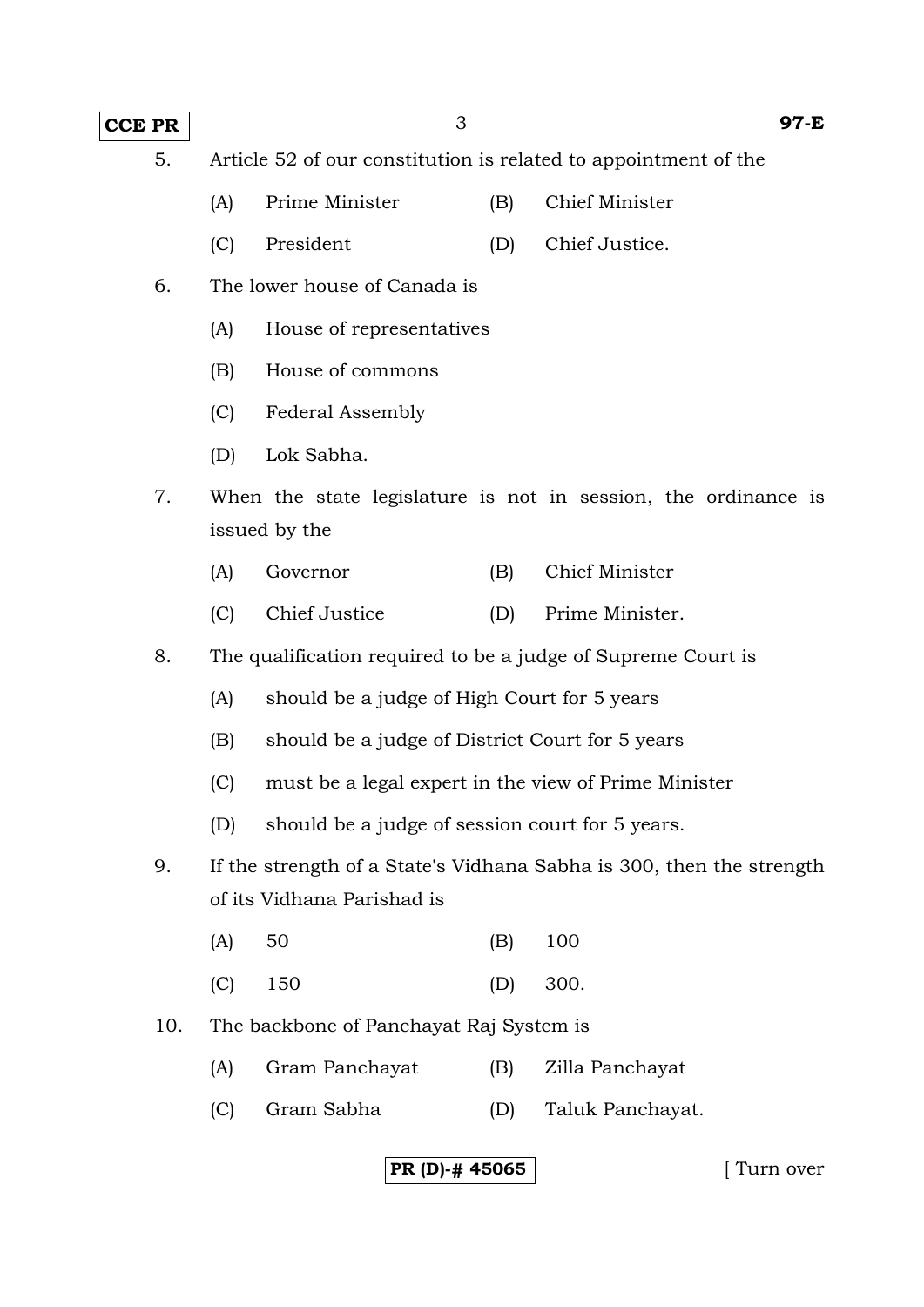## **CCE PR** 3 97-E

- 5. Article 52 of our constitution is related to appointment of the
	- (A) Prime Minister (B) Chief Minister
	- (C) President (D) Chief Justice.
- 6. The lower house of Canada is
	- (A) House of representatives
	- (B) House of commons
	- (C) Federal Assembly
	- (D) Lok Sabha.
- 7. When the state legislature is not in session, the ordinance is issued by the
	- (A) Governor (B) Chief Minister
	- (C) Chief Justice (D) Prime Minister.
- 8. The qualification required to be a judge of Supreme Court is
	- (A) should be a judge of High Court for 5 years
	- (B) should be a judge of District Court for 5 years
	- (C) must be a legal expert in the view of Prime Minister
	- (D) should be a judge of session court for 5 years.
- 9. If the strength of a State's Vidhana Sabha is 300, then the strength of its Vidhana Parishad is
- (A) 50 (B) 100
- (C) 150 (D) 300.
- 10. The backbone of Panchayat Raj System is
	- (A) Gram Panchayat (B) Zilla Panchayat
	- (C) Gram Sabha (D) Taluk Panchayat.

**PR (D)-# 45065 [** Turn over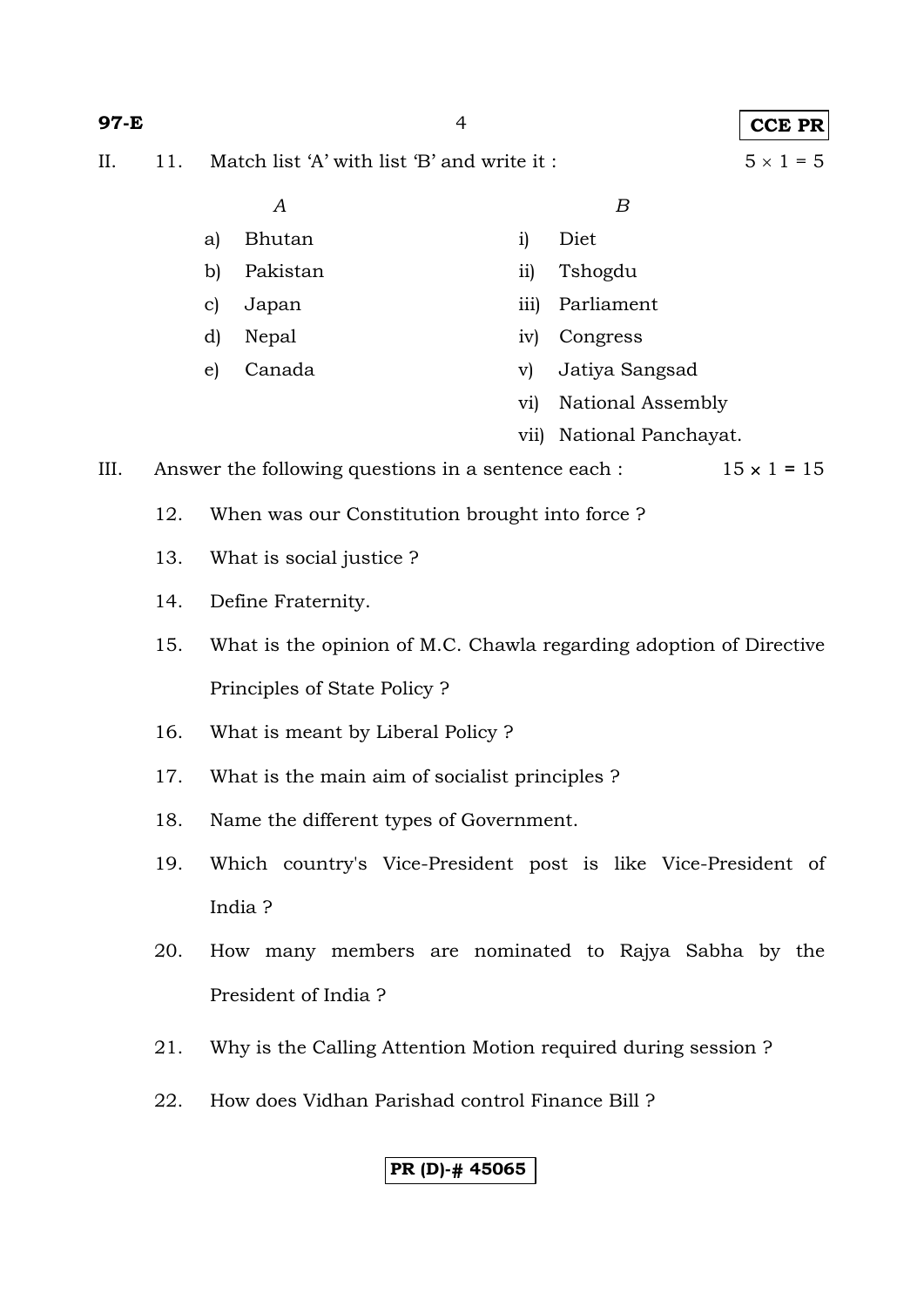| 97-E |                                                                                    | $\overline{4}$                                                           |                                                                    |            |                     | <b>CCE PR</b>      |  |
|------|------------------------------------------------------------------------------------|--------------------------------------------------------------------------|--------------------------------------------------------------------|------------|---------------------|--------------------|--|
| II.  | 11.                                                                                | Match list 'A' with list 'B' and write it:                               |                                                                    |            |                     | $5 \times 1 = 5$   |  |
|      |                                                                                    |                                                                          | $\boldsymbol{A}$                                                   |            | B                   |                    |  |
|      |                                                                                    | a)                                                                       | <b>Bhutan</b>                                                      | i)         | Diet                |                    |  |
|      |                                                                                    | b)                                                                       | Pakistan                                                           | $\rm ii)$  | Tshogdu             |                    |  |
|      |                                                                                    | $\mathbf{c}$                                                             | Japan                                                              | iii)       | Parliament          |                    |  |
|      |                                                                                    | d)                                                                       | Nepal                                                              | iv)        | Congress            |                    |  |
|      |                                                                                    | $\epsilon$                                                               | Canada                                                             | V)         | Jatiya Sangsad      |                    |  |
|      |                                                                                    |                                                                          |                                                                    | $\rm{vi)}$ | National Assembly   |                    |  |
|      |                                                                                    |                                                                          |                                                                    | vii)       | National Panchayat. |                    |  |
| III. |                                                                                    |                                                                          | Answer the following questions in a sentence each :                |            |                     | $15 \times 1 = 15$ |  |
|      | 12.<br>When was our Constitution brought into force?                               |                                                                          |                                                                    |            |                     |                    |  |
|      | 13.                                                                                | What is social justice?                                                  |                                                                    |            |                     |                    |  |
|      | 14.                                                                                | Define Fraternity.                                                       |                                                                    |            |                     |                    |  |
|      | 15.                                                                                |                                                                          | What is the opinion of M.C. Chawla regarding adoption of Directive |            |                     |                    |  |
|      |                                                                                    |                                                                          | Principles of State Policy?                                        |            |                     |                    |  |
|      | 16.                                                                                |                                                                          | What is meant by Liberal Policy?                                   |            |                     |                    |  |
|      | 17.                                                                                |                                                                          | What is the main aim of socialist principles?                      |            |                     |                    |  |
|      | 18.                                                                                | Name the different types of Government.                                  |                                                                    |            |                     |                    |  |
|      | 19.                                                                                | Which country's Vice-President post is like Vice-President of<br>India ? |                                                                    |            |                     |                    |  |
|      |                                                                                    |                                                                          |                                                                    |            |                     |                    |  |
|      | How many members are nominated to Rajya Sabha by the<br>20.<br>President of India? |                                                                          |                                                                    |            |                     |                    |  |
|      |                                                                                    |                                                                          |                                                                    |            |                     |                    |  |
|      |                                                                                    |                                                                          |                                                                    |            |                     |                    |  |
|      | 21.                                                                                |                                                                          | Why is the Calling Attention Motion required during session?       |            |                     |                    |  |
|      | 22.                                                                                | How does Vidhan Parishad control Finance Bill?                           |                                                                    |            |                     |                    |  |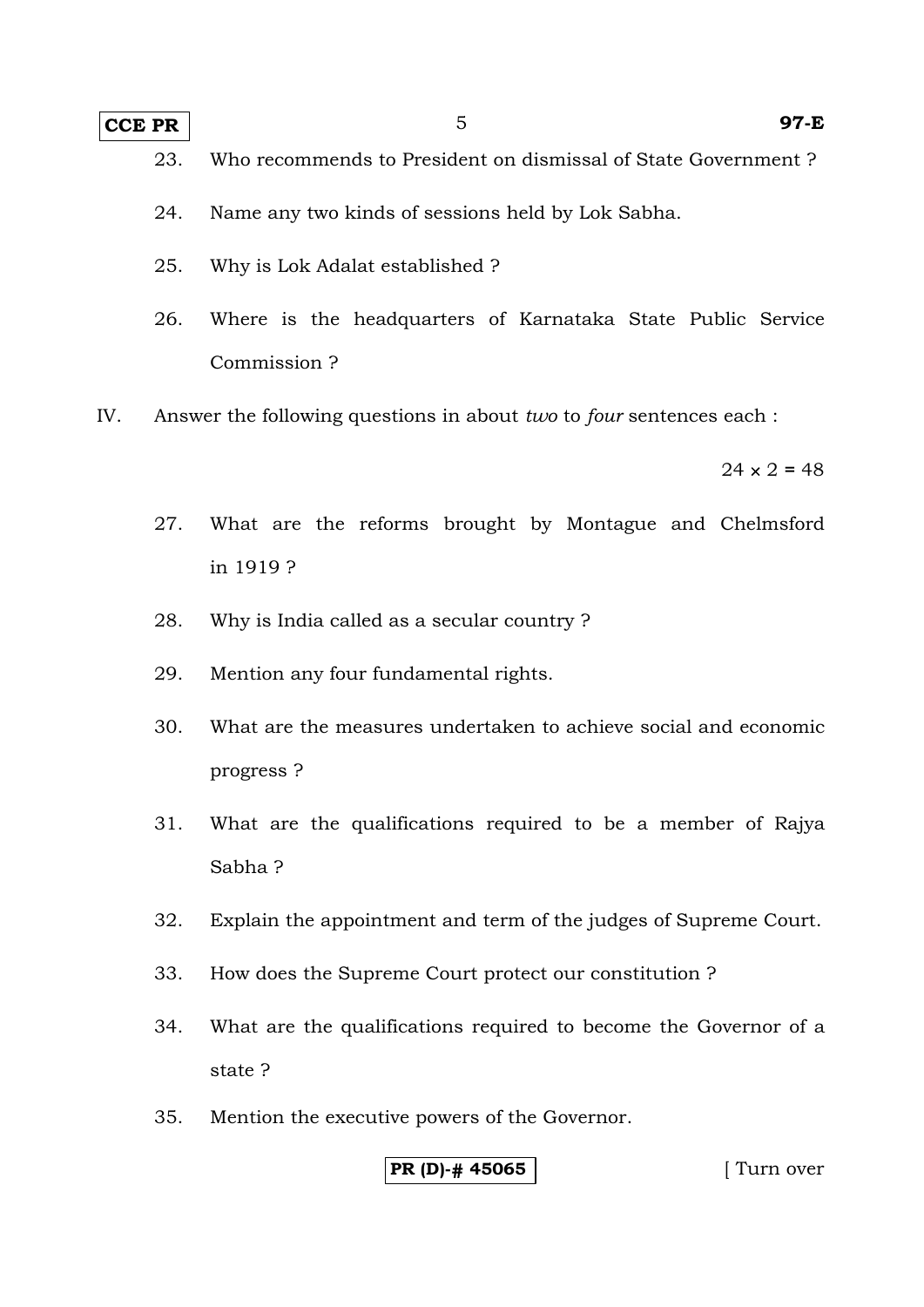## **CCE PR** 5 97-E

- 23. Who recommends to President on dismissal of State Government ?
- 24. Name any two kinds of sessions held by Lok Sabha.
- 25. Why is Lok Adalat established ?
- 26. Where is the headquarters of Karnataka State Public Service Commission ?
- IV. Answer the following questions in about *two* to *four* sentences each :

 $24 \times 2 = 48$ 

- 27. What are the reforms brought by Montague and Chelmsford in 1919 ?
- 28. Why is India called as a secular country ?
- 29. Mention any four fundamental rights.
- 30. What are the measures undertaken to achieve social and economic progress ?
- 31. What are the qualifications required to be a member of Rajya Sabha ?
- 32. Explain the appointment and term of the judges of Supreme Court.
- 33. How does the Supreme Court protect our constitution ?
- 34. What are the qualifications required to become the Governor of a state ?
- 35. Mention the executive powers of the Governor.

#### **PR (D)-# 45065** [ Turn over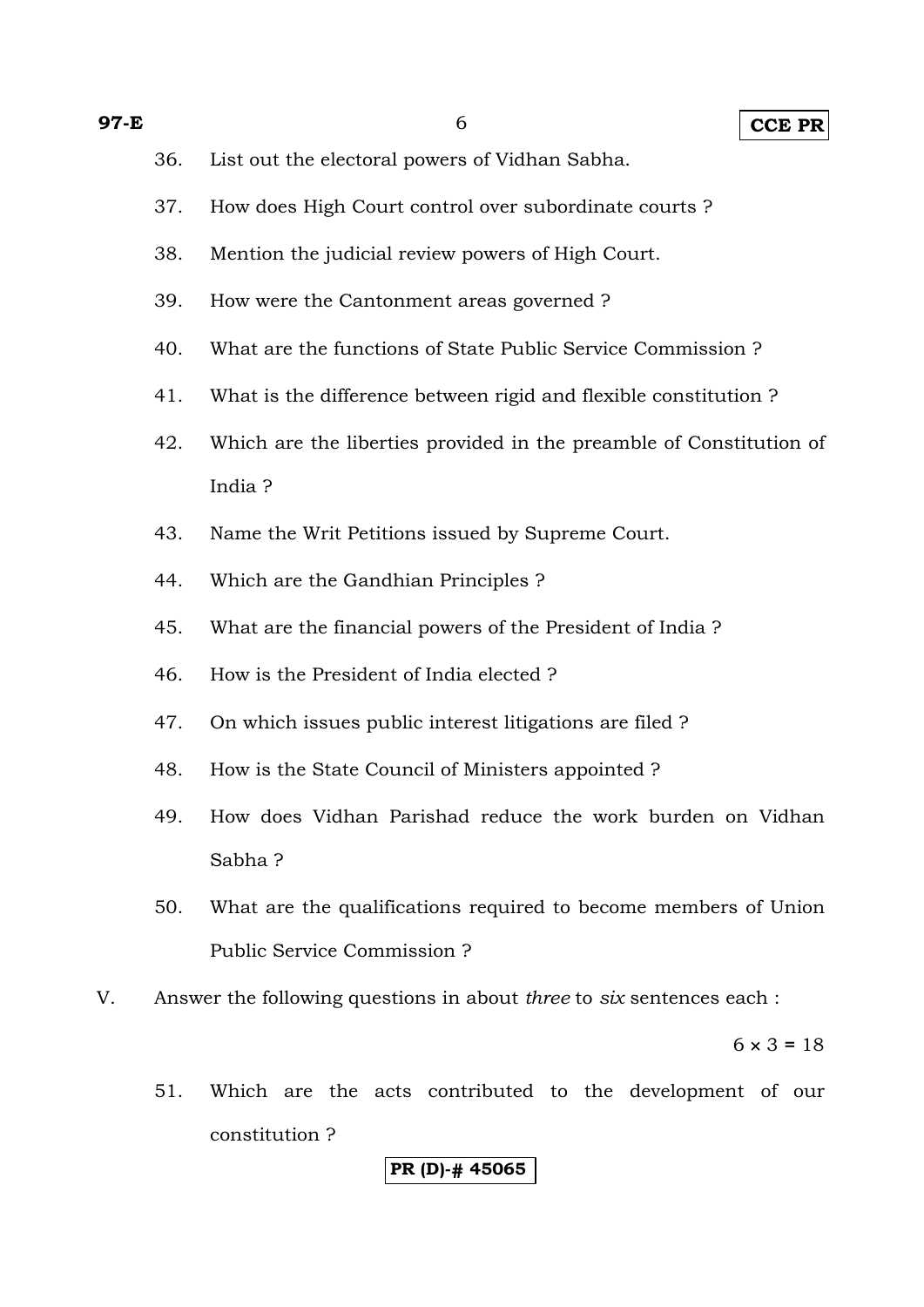- 36. List out the electoral powers of Vidhan Sabha.
- 37. How does High Court control over subordinate courts ?
- 38. Mention the judicial review powers of High Court.
- 39. How were the Cantonment areas governed ?
- 40. What are the functions of State Public Service Commission ?
- 41. What is the difference between rigid and flexible constitution ?
- 42. Which are the liberties provided in the preamble of Constitution of India ?
- 43. Name the Writ Petitions issued by Supreme Court.
- 44. Which are the Gandhian Principles ?
- 45. What are the financial powers of the President of India ?
- 46. How is the President of India elected ?
- 47. On which issues public interest litigations are filed ?
- 48. How is the State Council of Ministers appointed ?
- 49. How does Vidhan Parishad reduce the work burden on Vidhan Sabha ?
- 50. What are the qualifications required to become members of Union Public Service Commission ?
- V. Answer the following questions in about *three* to *six* sentences each :

 $6 \times 3 = 18$ 

51. Which are the acts contributed to the development of our constitution ?